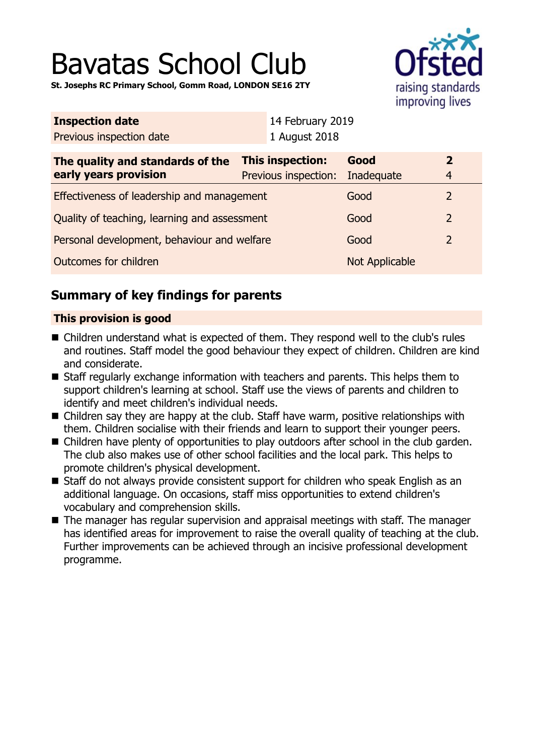# Bavatas School Club

**St. Josephs RC Primary School, Gomm Road, LONDON SE16 2TY**



| <b>Inspection date</b>                               |  | 14 February 2019     |                         |                |
|------------------------------------------------------|--|----------------------|-------------------------|----------------|
| Previous inspection date                             |  | 1 August 2018        |                         |                |
| This inspection:<br>The quality and standards of the |  | Good                 | $\overline{\mathbf{2}}$ |                |
| early years provision                                |  | Previous inspection: | Inadequate              | $\overline{4}$ |
| Effectiveness of leadership and management           |  |                      | Good                    | 2              |
| Quality of teaching, learning and assessment         |  |                      | Good                    | $\overline{2}$ |
| Personal development, behaviour and welfare          |  |                      | Good                    | $\overline{2}$ |
| Outcomes for children                                |  |                      | Not Applicable          |                |
|                                                      |  |                      |                         |                |

## **Summary of key findings for parents**

### **This provision is good**

- Children understand what is expected of them. They respond well to the club's rules and routines. Staff model the good behaviour they expect of children. Children are kind and considerate.
- Staff regularly exchange information with teachers and parents. This helps them to support children's learning at school. Staff use the views of parents and children to identify and meet children's individual needs.
- $\blacksquare$  Children say they are happy at the club. Staff have warm, positive relationships with them. Children socialise with their friends and learn to support their younger peers.
- Children have plenty of opportunities to play outdoors after school in the club garden. The club also makes use of other school facilities and the local park. This helps to promote children's physical development.
- Staff do not always provide consistent support for children who speak English as an additional language. On occasions, staff miss opportunities to extend children's vocabulary and comprehension skills.
- $\blacksquare$  The manager has regular supervision and appraisal meetings with staff. The manager has identified areas for improvement to raise the overall quality of teaching at the club. Further improvements can be achieved through an incisive professional development programme.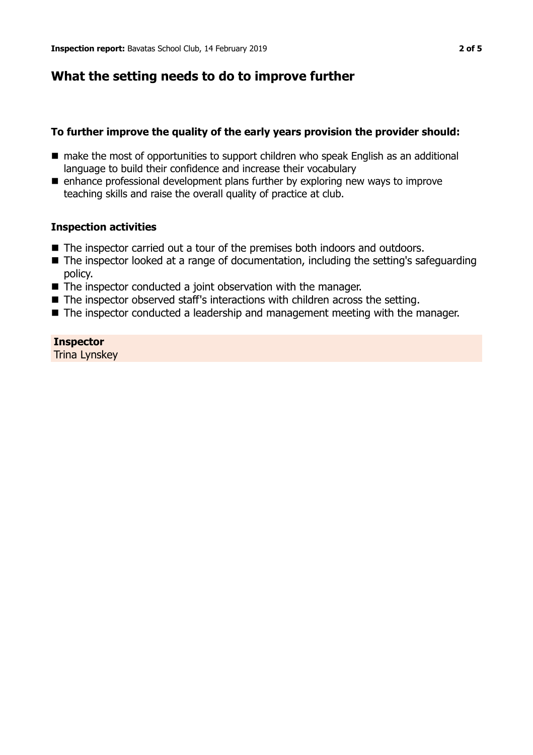## **What the setting needs to do to improve further**

#### **To further improve the quality of the early years provision the provider should:**

- n make the most of opportunities to support children who speak English as an additional language to build their confidence and increase their vocabulary
- $\blacksquare$  enhance professional development plans further by exploring new ways to improve teaching skills and raise the overall quality of practice at club.

#### **Inspection activities**

- The inspector carried out a tour of the premises both indoors and outdoors.
- $\blacksquare$  The inspector looked at a range of documentation, including the setting's safeguarding policy.
- $\blacksquare$  The inspector conducted a joint observation with the manager.
- $\blacksquare$  The inspector observed staff's interactions with children across the setting.
- $\blacksquare$  The inspector conducted a leadership and management meeting with the manager.

#### **Inspector**

Trina Lynskey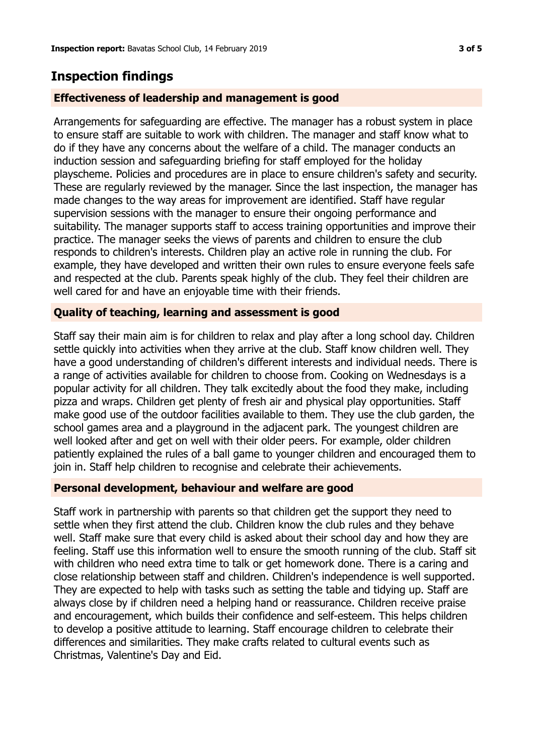## **Inspection findings**

#### **Effectiveness of leadership and management is good**

Arrangements for safeguarding are effective. The manager has a robust system in place to ensure staff are suitable to work with children. The manager and staff know what to do if they have any concerns about the welfare of a child. The manager conducts an induction session and safeguarding briefing for staff employed for the holiday playscheme. Policies and procedures are in place to ensure children's safety and security. These are regularly reviewed by the manager. Since the last inspection, the manager has made changes to the way areas for improvement are identified. Staff have regular supervision sessions with the manager to ensure their ongoing performance and suitability. The manager supports staff to access training opportunities and improve their practice. The manager seeks the views of parents and children to ensure the club responds to children's interests. Children play an active role in running the club. For example, they have developed and written their own rules to ensure everyone feels safe and respected at the club. Parents speak highly of the club. They feel their children are well cared for and have an enjoyable time with their friends.

#### **Quality of teaching, learning and assessment is good**

Staff say their main aim is for children to relax and play after a long school day. Children settle quickly into activities when they arrive at the club. Staff know children well. They have a good understanding of children's different interests and individual needs. There is a range of activities available for children to choose from. Cooking on Wednesdays is a popular activity for all children. They talk excitedly about the food they make, including pizza and wraps. Children get plenty of fresh air and physical play opportunities. Staff make good use of the outdoor facilities available to them. They use the club garden, the school games area and a playground in the adjacent park. The youngest children are well looked after and get on well with their older peers. For example, older children patiently explained the rules of a ball game to younger children and encouraged them to join in. Staff help children to recognise and celebrate their achievements.

#### **Personal development, behaviour and welfare are good**

Staff work in partnership with parents so that children get the support they need to settle when they first attend the club. Children know the club rules and they behave well. Staff make sure that every child is asked about their school day and how they are feeling. Staff use this information well to ensure the smooth running of the club. Staff sit with children who need extra time to talk or get homework done. There is a caring and close relationship between staff and children. Children's independence is well supported. They are expected to help with tasks such as setting the table and tidying up. Staff are always close by if children need a helping hand or reassurance. Children receive praise and encouragement, which builds their confidence and self-esteem. This helps children to develop a positive attitude to learning. Staff encourage children to celebrate their differences and similarities. They make crafts related to cultural events such as Christmas, Valentine's Day and Eid.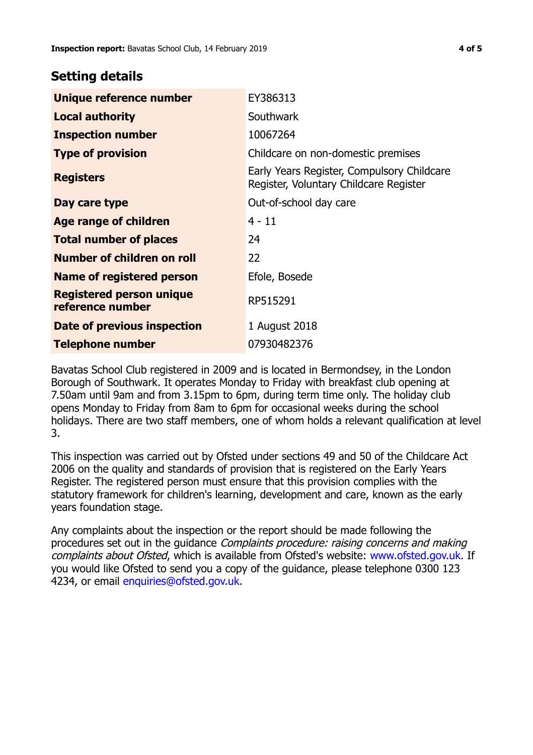## **Setting details**

| Unique reference number                             | EY386313                                                                             |  |
|-----------------------------------------------------|--------------------------------------------------------------------------------------|--|
| <b>Local authority</b>                              | Southwark                                                                            |  |
| <b>Inspection number</b>                            | 10067264                                                                             |  |
| <b>Type of provision</b>                            | Childcare on non-domestic premises                                                   |  |
| <b>Registers</b>                                    | Early Years Register, Compulsory Childcare<br>Register, Voluntary Childcare Register |  |
| Day care type                                       | Out-of-school day care                                                               |  |
| Age range of children                               | $4 - 11$                                                                             |  |
| <b>Total number of places</b>                       | 24                                                                                   |  |
| Number of children on roll                          | 22                                                                                   |  |
| Name of registered person                           | Efole, Bosede                                                                        |  |
| <b>Registered person unique</b><br>reference number | RP515291                                                                             |  |
| Date of previous inspection                         | 1 August 2018                                                                        |  |
| <b>Telephone number</b>                             | 07930482376                                                                          |  |

Bavatas School Club registered in 2009 and is located in Bermondsey, in the London Borough of Southwark. It operates Monday to Friday with breakfast club opening at 7.50am until 9am and from 3.15pm to 6pm, during term time only. The holiday club opens Monday to Friday from 8am to 6pm for occasional weeks during the school holidays. There are two staff members, one of whom holds a relevant qualification at level 3.

This inspection was carried out by Ofsted under sections 49 and 50 of the Childcare Act 2006 on the quality and standards of provision that is registered on the Early Years Register. The registered person must ensure that this provision complies with the statutory framework for children's learning, development and care, known as the early years foundation stage.

Any complaints about the inspection or the report should be made following the procedures set out in the guidance Complaints procedure: raising concerns and making complaints about Ofsted, which is available from Ofsted's website: www.ofsted.gov.uk. If you would like Ofsted to send you a copy of the guidance, please telephone 0300 123 4234, or email [enquiries@ofsted.gov.uk.](mailto:enquiries@ofsted.gov.uk)